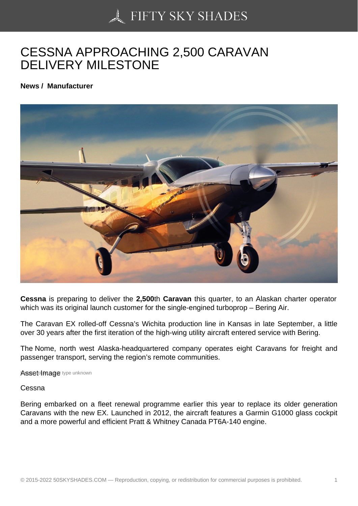## [CESSNA APPROACH](https://50skyshades.com)ING 2,500 CARAVAN DELIVERY MILESTONE

News / Manufacturer

Cessna is preparing to deliver the 2,500th Caravan this quarter, to an Alaskan charter operator which was its original launch customer for the single-engined turboprop – Bering Air.

The Caravan EX rolled-off Cessna's Wichita production line in Kansas in late September, a little over 30 years after the first iteration of the high-wing utility aircraft entered service with Bering.

The Nome, north west Alaska-headquartered company operates eight Caravans for freight and passenger transport, serving the region's remote communities.

Asset Image type unknown

Cessna

Bering embarked on a fleet renewal programme earlier this year to replace its older generation Caravans with the new EX. Launched in 2012, the aircraft features a Garmin G1000 glass cockpit and a more powerful and efficient Pratt & Whitney Canada PT6A-140 engine.